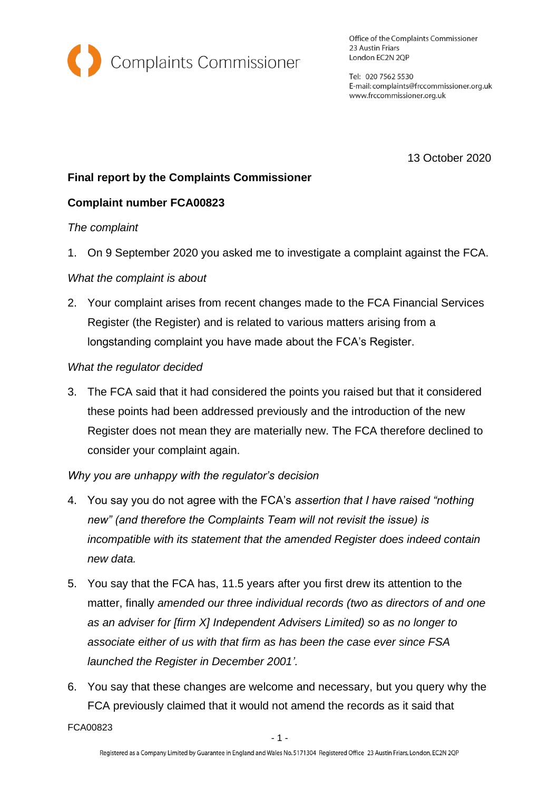

Office of the Complaints Commissioner 23 Austin Friars London EC2N 2QP

Tel: 020 7562 5530 E-mail: complaints@frccommissioner.org.uk www.frccommissioner.org.uk

13 October 2020

# **Final report by the Complaints Commissioner**

## **Complaint number FCA00823**

#### *The complaint*

1. On 9 September 2020 you asked me to investigate a complaint against the FCA.

### *What the complaint is about*

2. Your complaint arises from recent changes made to the FCA Financial Services Register (the Register) and is related to various matters arising from a longstanding complaint you have made about the FCA's Register.

### *What the regulator decided*

3. The FCA said that it had considered the points you raised but that it considered these points had been addressed previously and the introduction of the new Register does not mean they are materially new. The FCA therefore declined to consider your complaint again.

## *Why you are unhappy with the regulator's decision*

- 4. You say you do not agree with the FCA's *assertion that I have raised "nothing new" (and therefore the Complaints Team will not revisit the issue) is incompatible with its statement that the amended Register does indeed contain new data.*
- 5. You say that the FCA has, 11.5 years after you first drew its attention to the matter, finally *amended our three individual records (two as directors of and one as an adviser for [firm X] Independent Advisers Limited) so as no longer to associate either of us with that firm as has been the case ever since FSA launched the Register in December 2001'.*
- 6. You say that these changes are welcome and necessary, but you query why the FCA previously claimed that it would not amend the records as it said that

FCA00823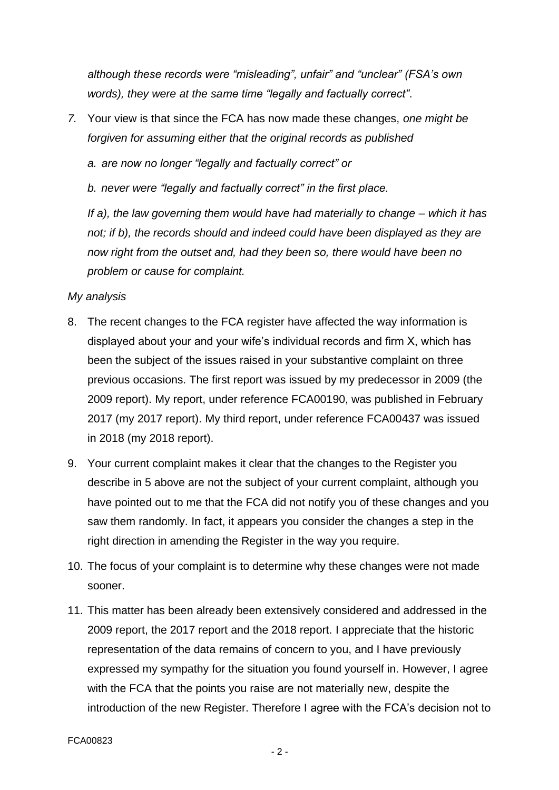*although these records were "misleading", unfair" and "unclear" (FSA's own words), they were at the same time "legally and factually correct"*.

*7.* Your view is that since the FCA has now made these changes, *one might be forgiven for assuming either that the original records as published*

*a. are now no longer "legally and factually correct" or*

*b. never were "legally and factually correct" in the first place.*

*If a), the law governing them would have had materially to change – which it has not; if b), the records should and indeed could have been displayed as they are now right from the outset and, had they been so, there would have been no problem or cause for complaint.*

## *My analysis*

- 8. The recent changes to the FCA register have affected the way information is displayed about your and your wife's individual records and firm X, which has been the subject of the issues raised in your substantive complaint on three previous occasions. The first report was issued by my predecessor in 2009 (the 2009 report). My report, under reference FCA00190, was published in February 2017 (my 2017 report). My third report, under reference FCA00437 was issued in 2018 (my 2018 report).
- 9. Your current complaint makes it clear that the changes to the Register you describe in 5 above are not the subject of your current complaint, although you have pointed out to me that the FCA did not notify you of these changes and you saw them randomly. In fact, it appears you consider the changes a step in the right direction in amending the Register in the way you require.
- 10. The focus of your complaint is to determine why these changes were not made sooner.
- 11. This matter has been already been extensively considered and addressed in the 2009 report, the 2017 report and the 2018 report. I appreciate that the historic representation of the data remains of concern to you, and I have previously expressed my sympathy for the situation you found yourself in. However, I agree with the FCA that the points you raise are not materially new, despite the introduction of the new Register. Therefore I agree with the FCA's decision not to